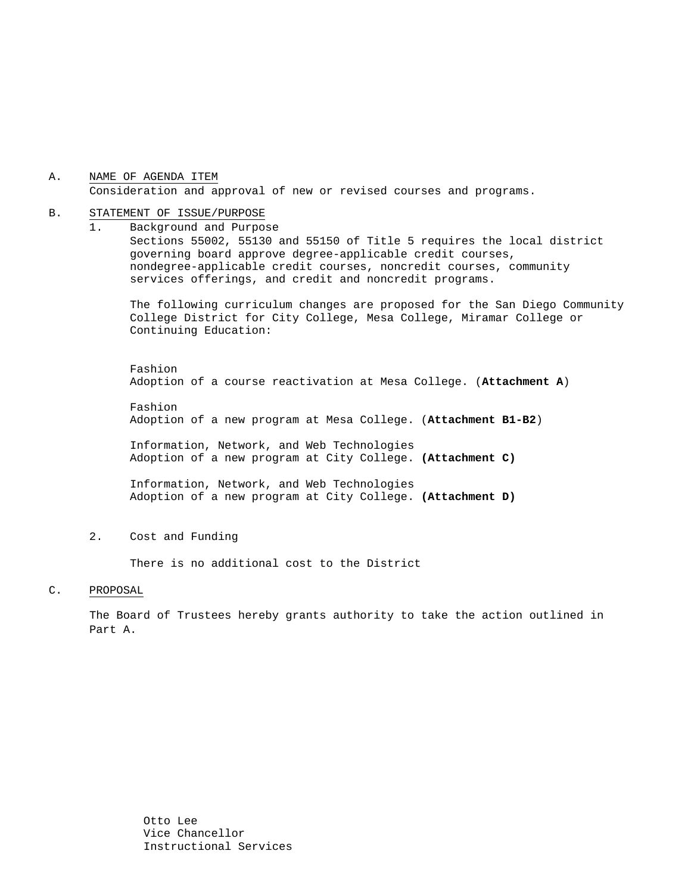### A. NAME OF AGENDA ITEM Consideration and approval of new or revised courses and programs.

#### B. STATEMENT OF ISSUE/PURPOSE

1. Background and Purpose Sections 55002, 55130 and 55150 of Title 5 requires the local district governing board approve degree-applicable credit courses, nondegree-applicable credit courses, noncredit courses, community services offerings, and credit and noncredit programs.

The following curriculum changes are proposed for the San Diego Community College District for City College, Mesa College, Miramar College or Continuing Education:

 Fashion Adoption of a course reactivation at Mesa College. (**Attachment A**)

Fashion Adoption of a new program at Mesa College. (**Attachment B1-B2**)

 Information, Network, and Web Technologies Adoption of a new program at City College. **(Attachment C)**

 Information, Network, and Web Technologies Adoption of a new program at City College. **(Attachment D)**

2. Cost and Funding

There is no additional cost to the District

#### C. PROPOSAL

The Board of Trustees hereby grants authority to take the action outlined in Part A.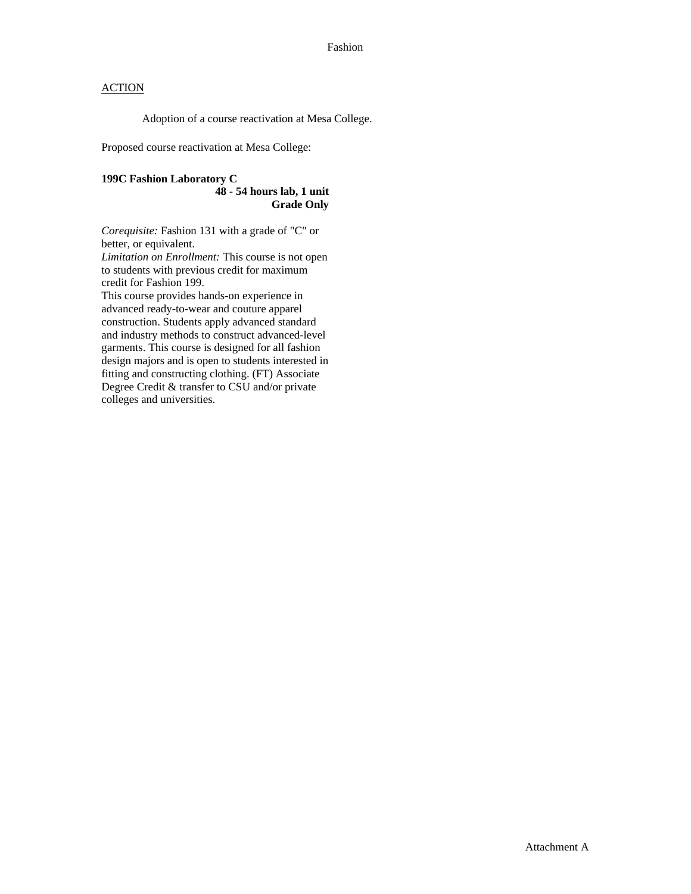### **ACTION**

Adoption of a course reactivation at Mesa College.

Proposed course reactivation at Mesa College:

### **199C Fashion Laboratory C**

#### **48 - 54 hours lab, 1 unit Grade Only**

*Corequisite:* Fashion 131 with a grade of "C" or better, or equivalent.

*Limitation on Enrollment:* This course is not open to students with previous credit for maximum credit for Fashion 199.

This course provides hands-on experience in advanced ready-to-wear and couture apparel construction. Students apply advanced standard and industry methods to construct advanced-level garments. This course is designed for all fashion design majors and is open to students interested in fitting and constructing clothing. (FT) Associate Degree Credit & transfer to CSU and/or private colleges and universities.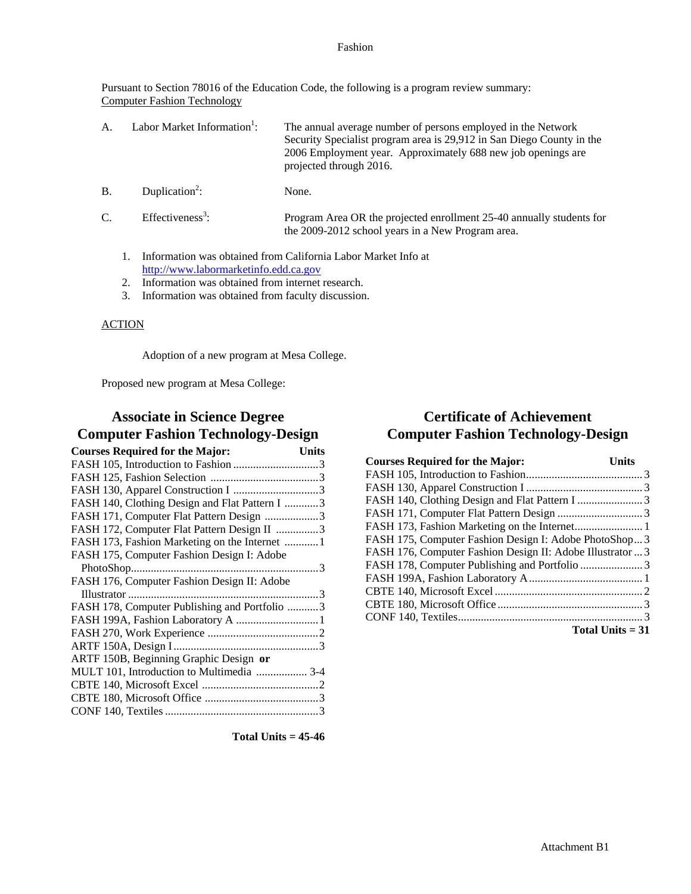#### Fashion

Pursuant to Section 78016 of the Education Code, the following is a program review summary: Computer Fashion Technology

| $A_{-}$ | Labor Market Information <sup>1</sup> : | The annual average number of persons employed in the Network          |
|---------|-----------------------------------------|-----------------------------------------------------------------------|
|         |                                         | Security Specialist program area is 29,912 in San Diego County in the |
|         |                                         | 2006 Employment year. Approximately 688 new job openings are          |
|         |                                         | projected through 2016.                                               |

- $B.$  Duplication<sup>2</sup>: None.
- $C.$  Effectiveness<sup>3</sup>: : Program Area OR the projected enrollment 25-40 annually students for the 2009-2012 school years in a New Program area.
	- 1. Information was obtained from California Labor Market Info at http://www.labormarketinfo.edd.ca.gov
	- 2. Information was obtained from internet research.
	- 3. Information was obtained from faculty discussion.

### ACTION

Adoption of a new program at Mesa College.

Proposed new program at Mesa College:

## **Associate in Science Degree Computer Fashion Technology-Design**

| <b>Courses Required for the Major:</b>         | <b>Units</b> |
|------------------------------------------------|--------------|
|                                                |              |
|                                                |              |
|                                                |              |
| FASH 140, Clothing Design and Flat Pattern I 3 |              |
| FASH 171, Computer Flat Pattern Design 3       |              |
| FASH 172, Computer Flat Pattern Design II 3    |              |
| FASH 173, Fashion Marketing on the Internet  1 |              |
| FASH 175, Computer Fashion Design I: Adobe     |              |
|                                                |              |
| FASH 176, Computer Fashion Design II: Adobe    |              |
|                                                |              |
| FASH 178, Computer Publishing and Portfolio 3  |              |
| FASH 199A, Fashion Laboratory A  1             |              |
|                                                |              |
|                                                |              |
| ARTF 150B, Beginning Graphic Design or         |              |
| MULT 101, Introduction to Multimedia  3-4      |              |
|                                                |              |
|                                                |              |
|                                                |              |
|                                                |              |

# **Certificate of Achievement Computer Fashion Technology-Design**

| <b>Courses Required for the Major:</b>                     | <b>Units</b>       |
|------------------------------------------------------------|--------------------|
|                                                            |                    |
|                                                            |                    |
|                                                            |                    |
|                                                            |                    |
|                                                            |                    |
| FASH 175, Computer Fashion Design I: Adobe PhotoShop 3     |                    |
| FASH 176, Computer Fashion Design II: Adobe Illustrator  3 |                    |
|                                                            |                    |
|                                                            |                    |
|                                                            |                    |
|                                                            |                    |
|                                                            |                    |
|                                                            | Total Units $= 31$ |

**Total Units = 45-46**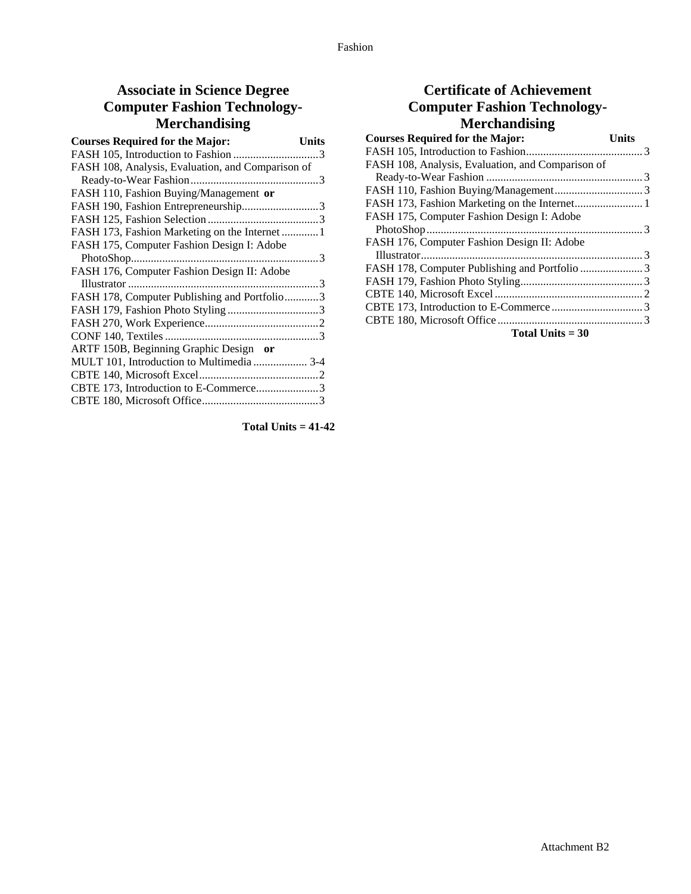# **Associate in Science Degree Computer Fashion Technology-Merchandising**

| <b>Courses Required for the Major:</b>            | <b>Units</b> |
|---------------------------------------------------|--------------|
|                                                   |              |
| FASH 108, Analysis, Evaluation, and Comparison of |              |
|                                                   |              |
| FASH 110, Fashion Buying/Management or            |              |
| FASH 190, Fashion Entrepreneurship3               |              |
|                                                   |              |
|                                                   |              |
| FASH 175, Computer Fashion Design I: Adobe        |              |
|                                                   |              |
| FASH 176, Computer Fashion Design II: Adobe       |              |
|                                                   |              |
| FASH 178, Computer Publishing and Portfolio3      |              |
|                                                   |              |
|                                                   |              |
|                                                   |              |
| ARTF 150B, Beginning Graphic Design or            |              |
| MULT 101, Introduction to Multimedia  3-4         |              |
|                                                   |              |
| CBTE 173, Introduction to E-Commerce3             |              |
|                                                   |              |
|                                                   |              |

**Total Units = 41-42** 

## **Certificate of Achievement Computer Fashion Technology-Merchandising**

| <b>Courses Required for the Major:</b>            | <b>Units</b> |
|---------------------------------------------------|--------------|
|                                                   |              |
| FASH 108, Analysis, Evaluation, and Comparison of |              |
|                                                   |              |
|                                                   |              |
|                                                   |              |
| FASH 175, Computer Fashion Design I: Adobe        |              |
|                                                   |              |
| FASH 176, Computer Fashion Design II: Adobe       |              |
|                                                   |              |
|                                                   |              |
|                                                   |              |
|                                                   |              |
|                                                   |              |
|                                                   |              |
| Total Units $=$ 30                                |              |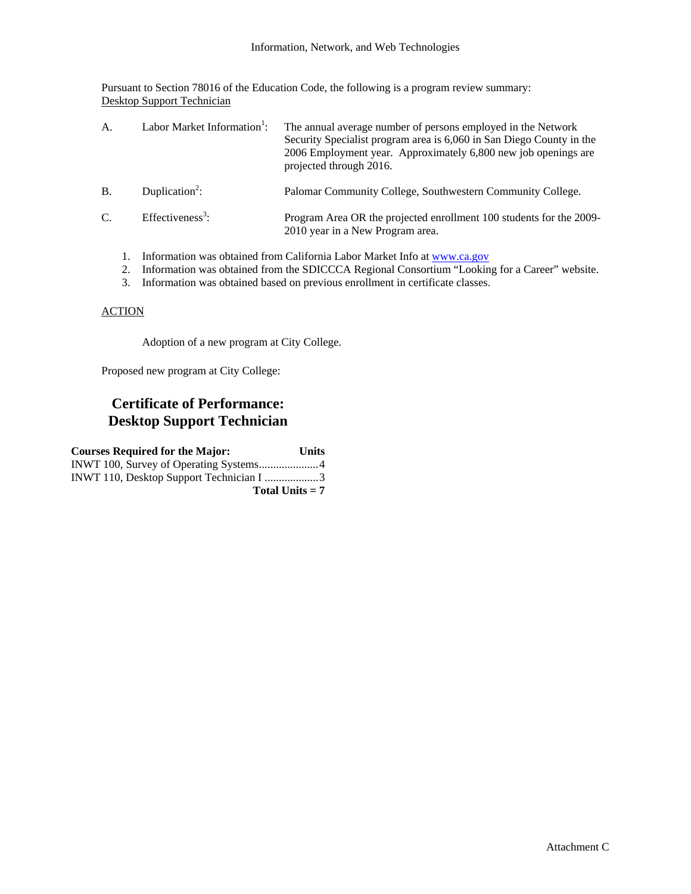Pursuant to Section 78016 of the Education Code, the following is a program review summary: Desktop Support Technician

| $\mathsf{A}$ . | Labor Market Information <sup>1</sup> : | The annual average number of persons employed in the Network<br>Security Specialist program area is 6,060 in San Diego County in the<br>2006 Employment year. Approximately 6,800 new job openings are<br>projected through 2016. |
|----------------|-----------------------------------------|-----------------------------------------------------------------------------------------------------------------------------------------------------------------------------------------------------------------------------------|
| $B$ .          | Duplication <sup>2</sup> :              | Palomar Community College, Southwestern Community College.                                                                                                                                                                        |
| C.             | Effectiveness <sup>3</sup> :            | Program Area OR the projected enrollment 100 students for the 2009-<br>2010 year in a New Program area.                                                                                                                           |
|                |                                         | Information was obtained from California Labor Market Info at www.ca.gov                                                                                                                                                          |

- 2. Information was obtained from the SDICCCA Regional Consortium "Looking for a Career" website.
- 3. Information was obtained based on previous enrollment in certificate classes.

### **ACTION**

Adoption of a new program at City College.

Proposed new program at City College:

## **Certificate of Performance: Desktop Support Technician**

| <b>Courses Required for the Major:</b>   | <b>Units</b> |
|------------------------------------------|--------------|
|                                          |              |
| INWT 110, Desktop Support Technician I 3 |              |
| Total Units $= 7$                        |              |